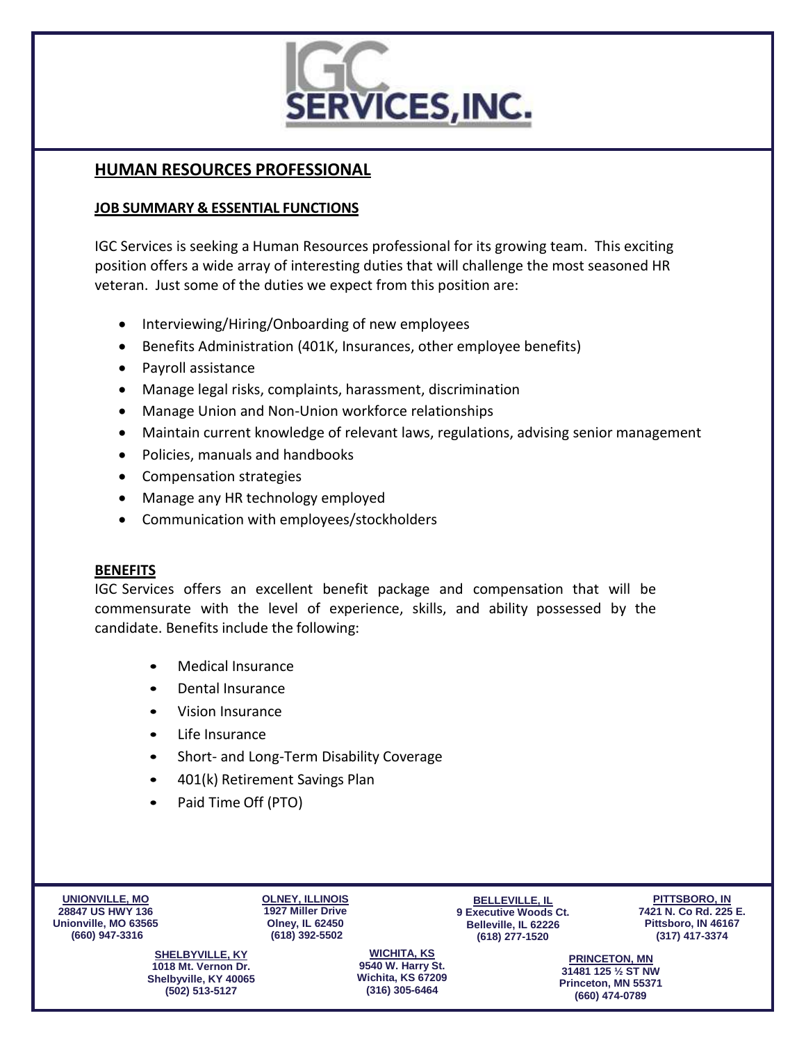

# **HUMAN RESOURCES PROFESSIONAL**

#### **JOB SUMMARY & ESSENTIAL FUNCTIONS**

IGC Services is seeking a Human Resources professional for its growing team. This exciting position offers a wide array of interesting duties that will challenge the most seasoned HR veteran. Just some of the duties we expect from this position are:

- Interviewing/Hiring/Onboarding of new employees
- Benefits Administration (401K, Insurances, other employee benefits)
- Payroll assistance
- Manage legal risks, complaints, harassment, discrimination
- Manage Union and Non-Union workforce relationships
- Maintain current knowledge of relevant laws, regulations, advising senior management
- Policies, manuals and handbooks
- Compensation strategies
- Manage any HR technology employed
- Communication with employees/stockholders

#### **BENEFITS**

IGC Services offers an excellent benefit package and compensation that will be commensurate with the level of experience, skills, and ability possessed by the candidate. Benefits include the following:

- Medical Insurance
- Dental Insurance
- Vision Insurance
- Life Insurance
- Short- and Long-Term Disability Coverage
- 401(k) Retirement Savings Plan
- Paid Time Off (PTO)

**UNIONVILLE, MO 28847 US HWY 136 Unionville, MO 63565 (660) 947-3316**

**OLNEY, ILLINOIS 1927 Miller Drive Olney, IL 62450 (618) 392-5502**

**BELLEVILLE, IL 9 Executive Woods Ct. Belleville, IL 62226 (618) 277-1520**

**PITTSBORO, IN 7421 N. Co Rd. 225 E. Pittsboro, IN 46167 (317) 417-3374**

**SHELBYVILLE, KY 1018 Mt. Vernon Dr. Shelbyville, KY 40065 (502) 513-5127**

**WICHITA, KS 9540 W. Harry St. Wichita, KS 67209 (316) 305-6464**

**PRINCETON, MN 31481 125 ½ ST NW Princeton, MN 55371 (660) 474-0789**